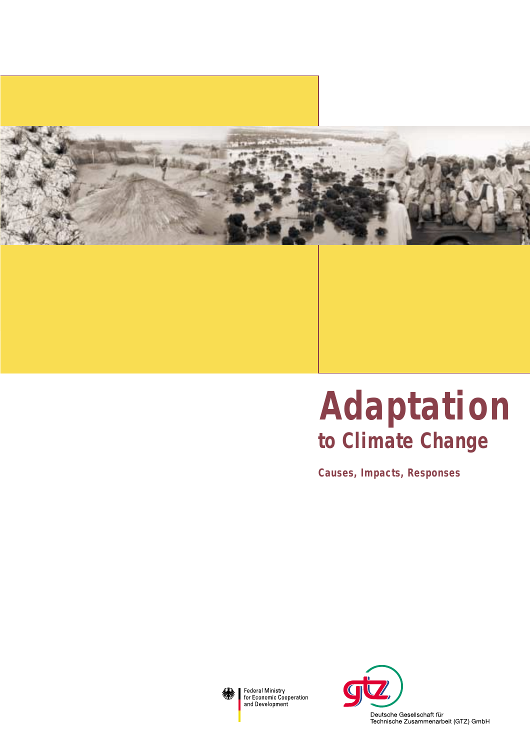

# **to Climate Change Adaptation**

**Causes, Impacts, Responses**



Federal Ministry<br>for Economic Cooperation and Development

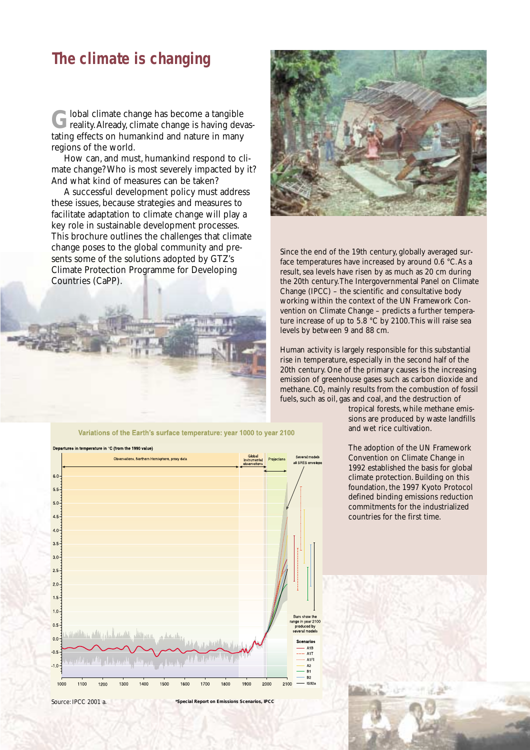## **The climate is changing**

Global climate change has become a tangible<br>
reality.Already, climate change is having devastating effects on humankind and nature in many regions of the world.

How can, and must, humankind respond to climate change? Who is most severely impacted by it? And what kind of measures can be taken?

A successful development policy must address these issues, because strategies and measures to facilitate adaptation to climate change will play a key role in sustainable development processes. This brochure outlines the challenges that climate change poses to the global community and presents some of the solutions adopted by GTZ's Climate Protection Programme for Developing Countries (CaPP).





Since the end of the 19th century, globally averaged surface temperatures have increased by around 0.6 °C.As a result, sea levels have risen by as much as 20 cm during the 20th century.The Intergovernmental Panel on Climate Change (IPCC) – the scientific and consultative body working within the context of the UN Framework Convention on Climate Change – predicts a further temperature increase of up to  $5.8\degree$ C by 2100. This will raise sea levels by between 9 and 88 cm.

Human activity is largely responsible for this substantial rise in temperature, especially in the second half of the 20th century. One of the primary causes is the increasing emission of greenhouse gases such as carbon dioxide and methane. CO<sub>2</sub> mainly results from the combustion of fossil fuels, such as oil, gas and coal, and the destruction of

> tropical forests, while methane emissions are produced by waste landfills and wet rice cultivation.

The adoption of the UN Framework Convention on Climate Change in 1992 established the basis for global climate protection. Building on this foundation, the 1997 Kyoto Protocol defined binding emissions reduction commitments for the industrialized countries for the first time.



Source: IPCC 2001 a. **\*Special Report on Emissions Scenarios, IPCC**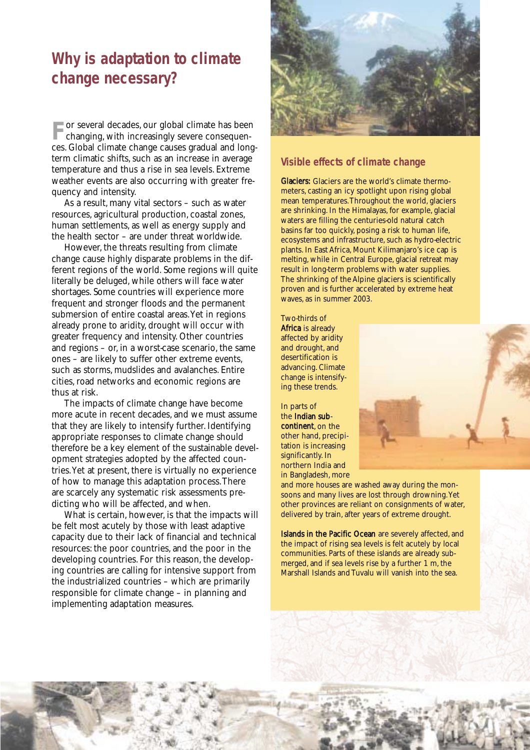# **Why is adaptation to climate change necessary?**

**For several decades, our global climate has been changing, with increasingly severe consequen**ces. Global climate change causes gradual and longterm climatic shifts, such as an increase in average temperature and thus a rise in sea levels. Extreme weather events are also occurring with greater frequency and intensity.

As a result, many vital sectors – such as water resources, agricultural production, coastal zones, human settlements, as well as energy supply and the health sector – are under threat worldwide.

However, the threats resulting from climate change cause highly disparate problems in the different regions of the world. Some regions will quite literally be deluged, while others will face water shortages. Some countries will experience more frequent and stronger floods and the permanent submersion of entire coastal areas.Yet in regions already prone to aridity, drought will occur with greater frequency and intensity. Other countries and regions – or, in a worst-case scenario, the same ones – are likely to suffer other extreme events, such as storms, mudslides and avalanches. Entire cities, road networks and economic regions are thus at risk.

The impacts of climate change have become more acute in recent decades, and we must assume that they are likely to intensify further. Identifying appropriate responses to climate change should therefore be a key element of the sustainable development strategies adopted by the affected countries.Yet at present, there is virtually no experience of how to manage this adaptation process.There are scarcely any systematic risk assessments predicting who will be affected, and when.

What is certain, however, is that the impacts will be felt most acutely by those with least adaptive capacity due to their lack of financial and technical resources: the poor countries, and the poor in the developing countries. For this reason, the developing countries are calling for intensive support from the industrialized countries – which are primarily responsible for climate change – in planning and implementing adaptation measures.



#### **Visible effects of climate change**

Glaciers: Glaciers are the world's climate thermometers, casting an icy spotlight upon rising global mean temperatures.Throughout the world, glaciers are shrinking. In the Himalayas, for example, glacial waters are filling the centuries-old natural catch basins far too quickly, posing a risk to human life, ecosystems and infrastructure, such as hydro-electric plants. In East Africa, Mount Kilimanjaro's ice cap is melting, while in Central Europe, glacial retreat may result in long-term problems with water supplies. The shrinking of the Alpine glaciers is scientifically proven and is further accelerated by extreme heat waves, as in summer 2003.

Two-thirds of Africa is already affected by aridity and drought, and desertification is advancing. Climate change is intensifying these trends.

In parts of the Indian subcontinent, on the other hand, precipitation is increasing significantly. In northern India and in Bangladesh, more



and more houses are washed away during the monsoons and many lives are lost through drowning.Yet other provinces are reliant on consignments of water, delivered by train, after years of extreme drought.

Islands in the Pacific Ocean are severely affected, and the impact of rising sea levels is felt acutely by local communities. Parts of these islands are already submerged, and if sea levels rise by a further 1 m, the Marshall Islands and Tuvalu will vanish into the sea.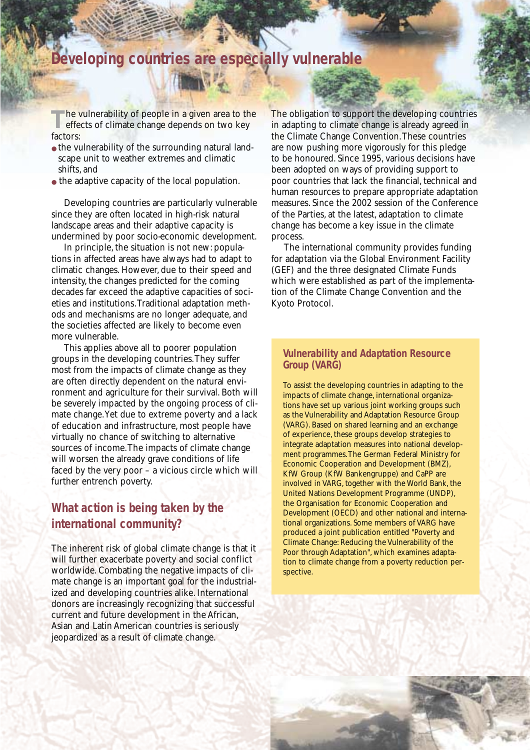## **Developing countries are especially vulnerable**

**T**he vulnerability of people in a given area to the effects of climate change depends on two key factors:

- the vulnerability of the surrounding natural landscape unit to weather extremes and climatic shifts, and
- the adaptive capacity of the local population.

Developing countries are particularly vulnerable since they are often located in high-risk natural landscape areas and their adaptive capacity is undermined by poor socio-economic development.

In principle, the situation is not new: populations in affected areas have always had to adapt to climatic changes. However, due to their speed and intensity, the changes predicted for the coming decades far exceed the adaptive capacities of societies and institutions.Traditional adaptation methods and mechanisms are no longer adequate, and the societies affected are likely to become even more vulnerable.

This applies above all to poorer population groups in the developing countries.They suffer most from the impacts of climate change as they are often directly dependent on the natural environment and agriculture for their survival. Both will be severely impacted by the ongoing process of climate change.Yet due to extreme poverty and a lack of education and infrastructure, most people have virtually no chance of switching to alternative sources of income.The impacts of climate change will worsen the already grave conditions of life faced by the very poor – a vicious circle which will further entrench poverty.

## **What action is being taken by the international community?**

The inherent risk of global climate change is that it will further exacerbate poverty and social conflict worldwide. Combating the negative impacts of climate change is an important goal for the industrialized and developing countries alike. International donors are increasingly recognizing that successful current and future development in the African, Asian and Latin American countries is seriously jeopardized as a result of climate change.

The obligation to support the developing countries in adapting to climate change is already agreed in the Climate Change Convention.These countries are now pushing more vigorously for this pledge to be honoured. Since 1995, various decisions have been adopted on ways of providing support to poor countries that lack the financial, technical and human resources to prepare appropriate adaptation measures. Since the 2002 session of the Conference of the Parties, at the latest, adaptation to climate change has become a key issue in the climate process.

The international community provides funding for adaptation via the Global Environment Facility (GEF) and the three designated Climate Funds which were established as part of the implementation of the Climate Change Convention and the Kyoto Protocol.

#### **Vulnerability and Adaptation Resource Group (VARG)**

To assist the developing countries in adapting to the impacts of climate change, international organizations have set up various joint working groups such as the Vulnerability and Adaptation Resource Group (VARG). Based on shared learning and an exchange of experience, these groups develop strategies to integrate adaptation measures into national development programmes.The German Federal Ministry for Economic Cooperation and Development (BMZ), KfW Group (KfW Bankengruppe) and CaPP are involved in VARG, together with the World Bank, the United Nations Development Programme (UNDP), the Organisation for Economic Cooperation and Development (OECD) and other national and international organizations. Some members of VARG have produced a joint publication entitled "Poverty and Climate Change: Reducing the Vulnerability of the Poor through Adaptation", which examines adaptation to climate change from a poverty reduction perspective.

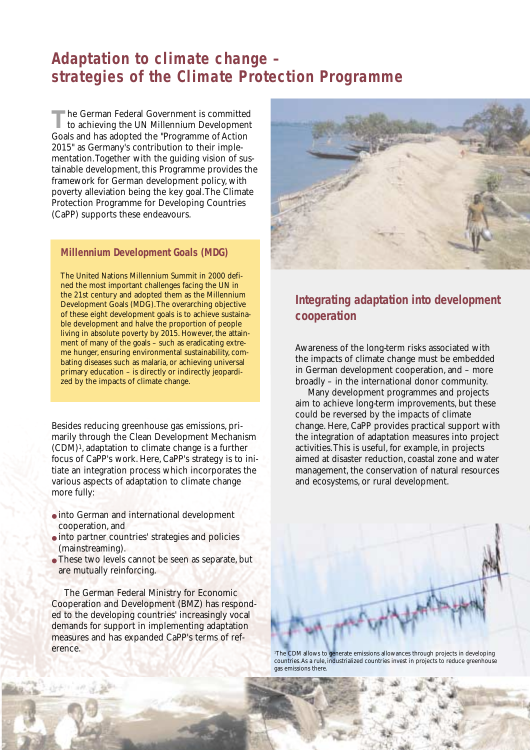## **Adaptation to climate change – strategies of the Climate Protection Programme**

The German Federal Government is committed<br>to achieving the UN Millennium Development Goals and has adopted the "Programme of Action 2015" as Germany's contribution to their implementation.Together with the guiding vision of sustainable development, this Programme provides the framework for German development policy, with poverty alleviation being the key goal.The Climate Protection Programme for Developing Countries (CaPP) supports these endeavours.

#### **Millennium Development Goals (MDG)**

The United Nations Millennium Summit in 2000 defined the most important challenges facing the UN in the 21st century and adopted them as the Millennium Development Goals (MDG).The overarching objective of these eight development goals is to achieve sustainable development and halve the proportion of people living in absolute poverty by 2015. However, the attainment of many of the goals – such as eradicating extreme hunger, ensuring environmental sustainability, combating diseases such as malaria, or achieving universal primary education – is directly or indirectly jeopardized by the impacts of climate change.

Besides reducing greenhouse gas emissions, primarily through the Clean Development Mechanism (CDM)1, adaptation to climate change is a further focus of CaPP's work. Here, CaPP's strategy is to initiate an integration process which incorporates the various aspects of adaptation to climate change more fully:

- into German and international development cooperation, and
- into partner countries' strategies and policies (mainstreaming).
- These two levels cannot be seen as separate, but are mutually reinforcing.

The German Federal Ministry for Economic Cooperation and Development (BMZ) has responded to the developing countries' increasingly vocal demands for support in implementing adaptation measures and has expanded CaPP's terms of reference.



## **Integrating adaptation into development cooperation**

Awareness of the long-term risks associated with the impacts of climate change must be embedded in German development cooperation, and – more broadly – in the international donor community.

Many development programmes and projects aim to achieve long-term improvements, but these could be reversed by the impacts of climate change. Here, CaPP provides practical support with the integration of adaptation measures into project activities.This is useful, for example, in projects aimed at disaster reduction, coastal zone and water management, the conservation of natural resources and ecosystems, or rural development.



1 The CDM allows to generate emissions allowances through projects in developing countries.As a rule, industrialized countries invest in projects to reduce greenhouse gas emissions there.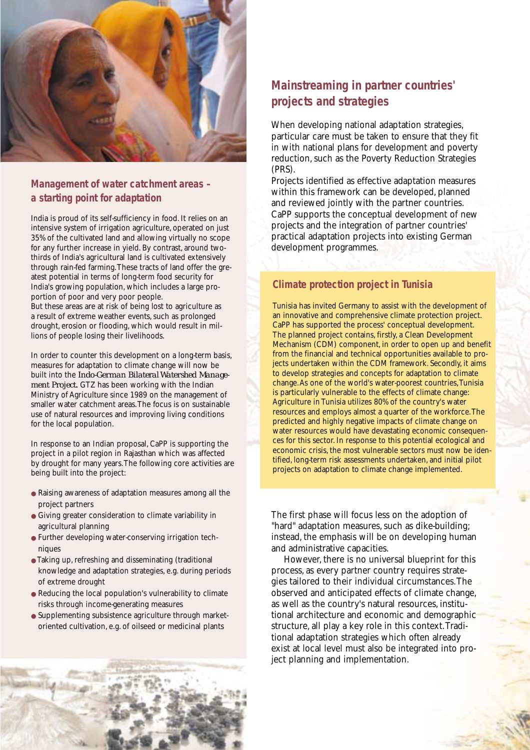

## **Management of water catchment areas – a starting point for adaptation**

India is proud of its self-sufficiency in food. It relies on an intensive system of irrigation agriculture, operated on just 35% of the cultivated land and allowing virtually no scope for any further increase in yield. By contrast, around twothirds of India's agricultural land is cultivated extensively through rain-fed farming.These tracts of land offer the greatest potential in terms of long-term food security for India's growing population, which includes a large proportion of poor and very poor people.

But these areas are at risk of being lost to agriculture as a result of extreme weather events, such as prolonged drought, erosion or flooding, which would result in millions of people losing their livelihoods.

In order to counter this development on a long-term basis, measures for adaptation to climate change will now be built into the *Indo-German Bilateral Watershed Management Project*. GTZ has been working with the Indian Ministry of Agriculture since 1989 on the management of smaller water catchment areas.The focus is on sustainable use of natural resources and improving living conditions for the local population.

In response to an Indian proposal, CaPP is supporting the project in a pilot region in Rajasthan which was affected by drought for many years.The following core activities are being built into the project:

- Raising awareness of adaptation measures among all the project partners
- Giving greater consideration to climate variability in agricultural planning
- Further developing water-conserving irrigation techniques
- Taking up, refreshing and disseminating (traditional knowledge and adaptation strategies, e.g. during periods of extreme drought
- Reducing the local population's vulnerability to climate risks through income-generating measures
- Supplementing subsistence agriculture through marketoriented cultivation, e.g. of oilseed or medicinal plants

## **Mainstreaming in partner countries' projects and strategies**

When developing national adaptation strategies, particular care must be taken to ensure that they fit in with national plans for development and poverty reduction, such as the Poverty Reduction Strategies (PRS).

Projects identified as effective adaptation measures within this framework can be developed, planned and reviewed jointly with the partner countries. CaPP supports the conceptual development of new projects and the integration of partner countries' practical adaptation projects into existing German development programmes.

## **Climate protection project in Tunisia**

Tunisia has invited Germany to assist with the development of an innovative and comprehensive climate protection project. CaPP has supported the process' conceptual development. The planned project contains, firstly, a Clean Development Mechanism (CDM) component, in order to open up and benefit from the financial and technical opportunities available to projects undertaken within the CDM framework. Secondly, it aims to develop strategies and concepts for adaptation to climate change.As one of the world's water-poorest countries,Tunisia is particularly vulnerable to the effects of climate change: Agriculture in Tunisia utilizes 80% of the country's water resources and employs almost a quarter of the workforce.The predicted and highly negative impacts of climate change on water resources would have devastating economic consequences for this sector. In response to this potential ecological and economic crisis, the most vulnerable sectors must now be identified, long-term risk assessments undertaken, and initial pilot projects on adaptation to climate change implemented.

The first phase will focus less on the adoption of "hard" adaptation measures, such as dike-building; instead, the emphasis will be on developing human and administrative capacities.

However, there is no universal blueprint for this process, as every partner country requires strategies tailored to their individual circumstances.The observed and anticipated effects of climate change, as well as the country's natural resources, institutional architecture and economic and demographic structure, all play a key role in this context.Traditional adaptation strategies which often already exist at local level must also be integrated into project planning and implementation.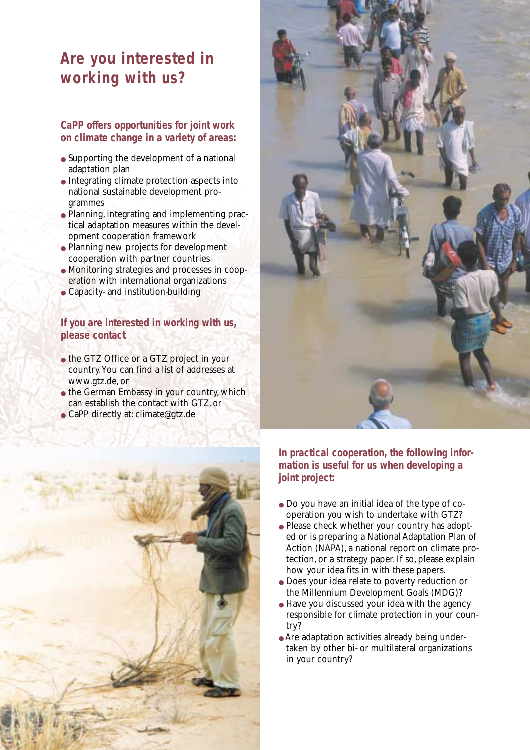# **Are you interested in working with us?**

#### **CaPP offers opportunities for joint work on climate change in a variety of areas:**

- Supporting the development of a national adaptation plan
- Integrating climate protection aspects into national sustainable development programmes
- Planning, integrating and implementing practical adaptation measures within the development cooperation framework
- Planning new projects for development cooperation with partner countries
- Monitoring strategies and processes in cooperation with international organizations
- Capacity- and institution-building

#### **If you are interested in working with us, please contact**

- the GTZ Office or a GTZ project in your country.You can find a list of addresses at www.gtz.de, or
- the German Embassy in your country, which can establish the contact with GTZ, or
- CaPP directly at: climate@gtz.de





**In practical cooperation, the following information is useful for us when developing a joint project:** 

- Do you have an initial idea of the type of cooperation you wish to undertake with GTZ?
- Please check whether your country has adopted or is preparing a National Adaptation Plan of Action (NAPA), a national report on climate protection, or a strategy paper. If so, please explain how your idea fits in with these papers.
- Does your idea relate to poverty reduction or the Millennium Development Goals (MDG)?
- Have you discussed your idea with the agency responsible for climate protection in your country?
- Are adaptation activities already being undertaken by other bi- or multilateral organizations in your country?